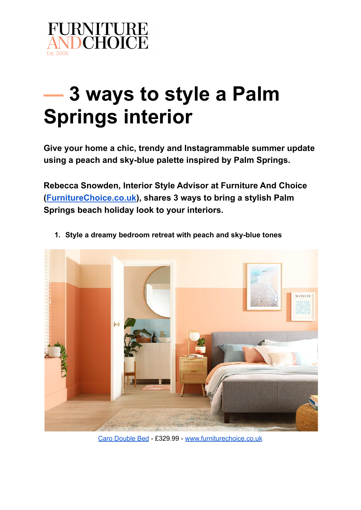

## **— 3 ways to style a Palm Springs interior**

**Give your home a chic, trendy and Instagrammable summer update using a peach and sky-blue palette inspired by Palm Springs.**

**Rebecca Snowden, Interior Style Advisor at Furniture And Choice ([FurnitureChoice.co.uk](https://www.furniturechoice.co.uk/)), shares 3 ways to bring a stylish Palm Springs beach holiday look to your interiors.**



**1. Style a dreamy bedroom retreat with peach and sky-blue tones**

Caro [Double](https://www.furniturechoice.co.uk/bedroom/beds/caro-grey-fabric-double-bed_fb10001474) Bed - £329.99 - [www.furniturechoice.co.uk](https://www.furniturechoice.co.uk/)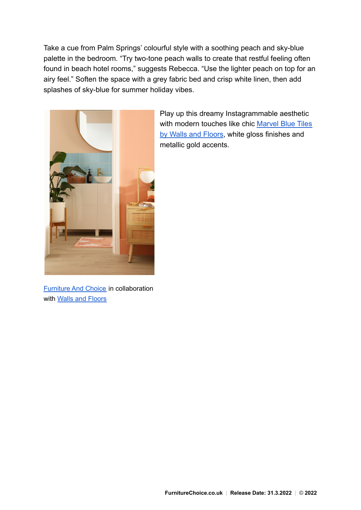Take a cue from Palm Springs' colourful style with a soothing peach and sky-blue palette in the bedroom. "Try two-tone peach walls to create that restful feeling often found in beach hotel rooms," suggests Rebecca. "Use the lighter peach on top for an airy feel." Soften the space with a grey fabric bed and crisp white linen, then add splashes of sky-blue for summer holiday vibes.



Play up this dreamy Instagrammable aesthetic with modern touches like chic [Marvel Blue Tiles](https://ww2.wallsandfloors.co.uk/marvel-tiles-blue-skies-gloss-tiles) [by Walls and Floors,](https://ww2.wallsandfloors.co.uk/marvel-tiles-blue-skies-gloss-tiles) white gloss finishes and metallic gold accents.

[Furniture](https://www.furniturechoice.co.uk) And Choice in collaboration with Walls and [Floors](https://ww2.wallsandfloors.co.uk/)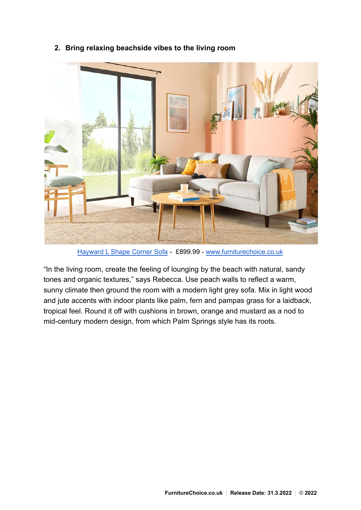



[Hayward](https://www.furniturechoice.co.uk/living-room-furniture/sofas/corner-sofas/hayward-dove-grey-plush-fabric-l-shape-corner-sofa-rhf_cs10000930) L Shape Corner Sofa - £899.99 - [www.furniturechoice.co.uk](https://www.furniturechoice.co.uk/)

"In the living room, create the feeling of lounging by the beach with natural, sandy tones and organic textures," says Rebecca. Use peach walls to reflect a warm, sunny climate then ground the room with a modern light grey sofa. Mix in light wood and jute accents with indoor plants like palm, fern and pampas grass for a laidback, tropical feel. Round it off with cushions in brown, orange and mustard as a nod to mid-century modern design, from which Palm Springs style has its roots.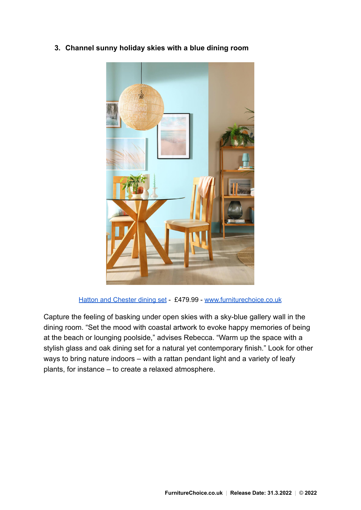



Hatton and [Chester](https://www.furniturechoice.co.uk/dining-room-furniture/dining-tables-and-chairs/hatton-round-oak-and-glass-dining-table-with-4-chester-chairs-ivory-seat-pad_ds10008665) dining set - £479.99 - [www.furniturechoice.co.uk](https://www.furniturechoice.co.uk/)

Capture the feeling of basking under open skies with a sky-blue gallery wall in the dining room. "Set the mood with coastal artwork to evoke happy memories of being at the beach or lounging poolside," advises Rebecca. "Warm up the space with a stylish glass and oak dining set for a natural yet contemporary finish." Look for other ways to bring nature indoors – with a rattan pendant light and a variety of leafy plants, for instance – to create a relaxed atmosphere.